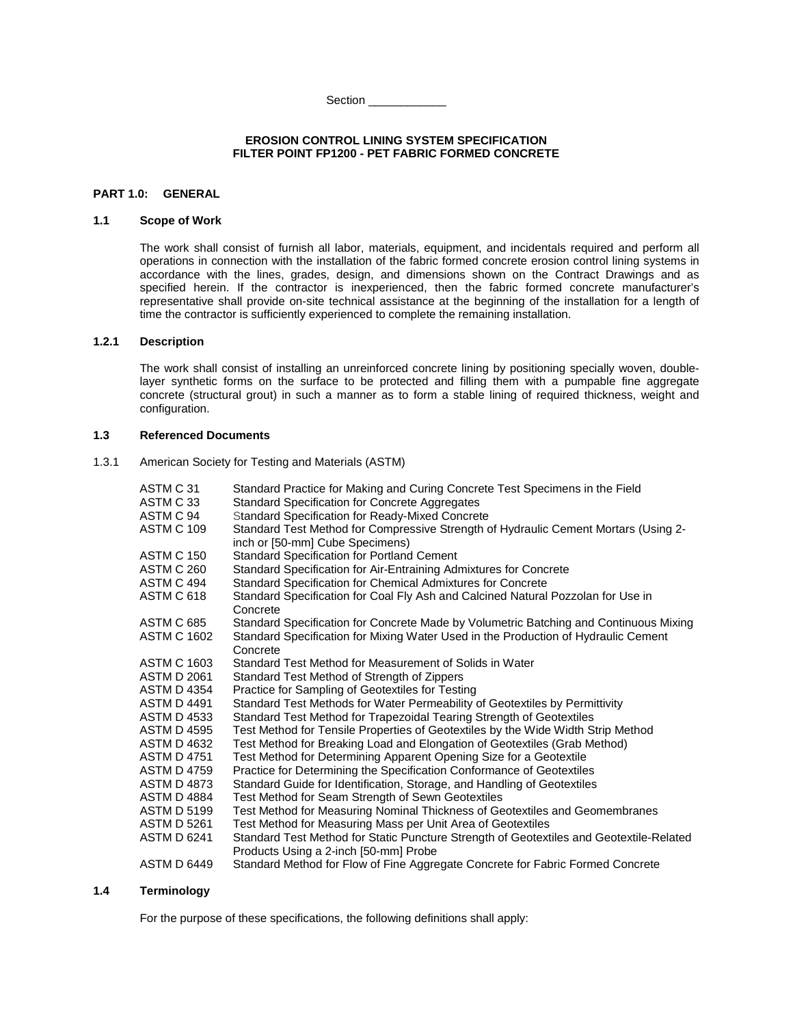Section \_\_\_\_\_\_\_\_\_\_\_\_

#### **EROSION CONTROL LINING SYSTEM SPECIFICATION FILTER POINT FP1200 - PET FABRIC FORMED CONCRETE**

## **PART 1.0: GENERAL**

## **1.1 Scope of Work**

The work shall consist of furnish all labor, materials, equipment, and incidentals required and perform all operations in connection with the installation of the fabric formed concrete erosion control lining systems in accordance with the lines, grades, design, and dimensions shown on the Contract Drawings and as specified herein. If the contractor is inexperienced, then the fabric formed concrete manufacturer's representative shall provide on-site technical assistance at the beginning of the installation for a length of time the contractor is sufficiently experienced to complete the remaining installation.

## **1.2.1 Description**

The work shall consist of installing an unreinforced concrete lining by positioning specially woven, doublelayer synthetic forms on the surface to be protected and filling them with a pumpable fine aggregate concrete (structural grout) in such a manner as to form a stable lining of required thickness, weight and configuration.

## **1.3 Referenced Documents**

1.3.1 American Society for Testing and Materials (ASTM)

| ASTM C 31          | Standard Practice for Making and Curing Concrete Test Specimens in the Field                                           |
|--------------------|------------------------------------------------------------------------------------------------------------------------|
| ASTM C 33          | Standard Specification for Concrete Aggregates                                                                         |
| ASTM C 94          | <b>Standard Specification for Ready-Mixed Concrete</b>                                                                 |
| <b>ASTM C 109</b>  | Standard Test Method for Compressive Strength of Hydraulic Cement Mortars (Using 2-<br>inch or [50-mm] Cube Specimens) |
| <b>ASTM C 150</b>  | <b>Standard Specification for Portland Cement</b>                                                                      |
| ASTM C 260         | Standard Specification for Air-Entraining Admixtures for Concrete                                                      |
| ASTM C 494         | Standard Specification for Chemical Admixtures for Concrete                                                            |
| ASTM C 618         | Standard Specification for Coal Fly Ash and Calcined Natural Pozzolan for Use in                                       |
|                    | Concrete                                                                                                               |
| ASTM C 685         | Standard Specification for Concrete Made by Volumetric Batching and Continuous Mixing                                  |
| <b>ASTM C 1602</b> | Standard Specification for Mixing Water Used in the Production of Hydraulic Cement                                     |
|                    | Concrete                                                                                                               |
| <b>ASTM C 1603</b> | Standard Test Method for Measurement of Solids in Water                                                                |
| ASTM D 2061        | Standard Test Method of Strength of Zippers                                                                            |
| <b>ASTM D 4354</b> | Practice for Sampling of Geotextiles for Testing                                                                       |
| <b>ASTM D 4491</b> | Standard Test Methods for Water Permeability of Geotextiles by Permittivity                                            |
| ASTM D 4533        | Standard Test Method for Trapezoidal Tearing Strength of Geotextiles                                                   |
| ASTM D 4595        | Test Method for Tensile Properties of Geotextiles by the Wide Width Strip Method                                       |
| ASTM D 4632        | Test Method for Breaking Load and Elongation of Geotextiles (Grab Method)                                              |
| <b>ASTM D 4751</b> | Test Method for Determining Apparent Opening Size for a Geotextile                                                     |
| <b>ASTM D 4759</b> | Practice for Determining the Specification Conformance of Geotextiles                                                  |
| <b>ASTM D 4873</b> | Standard Guide for Identification, Storage, and Handling of Geotextiles                                                |
| <b>ASTM D 4884</b> | Test Method for Seam Strength of Sewn Geotextiles                                                                      |
| ASTM D 5199        | Test Method for Measuring Nominal Thickness of Geotextiles and Geomembranes                                            |
| <b>ASTM D 5261</b> | Test Method for Measuring Mass per Unit Area of Geotextiles                                                            |
| <b>ASTM D 6241</b> | Standard Test Method for Static Puncture Strength of Geotextiles and Geotextile-Related                                |
|                    | Products Using a 2-inch [50-mm] Probe                                                                                  |
| <b>ASTM D 6449</b> | Standard Method for Flow of Fine Aggregate Concrete for Fabric Formed Concrete                                         |

## **1.4 Terminology**

For the purpose of these specifications, the following definitions shall apply: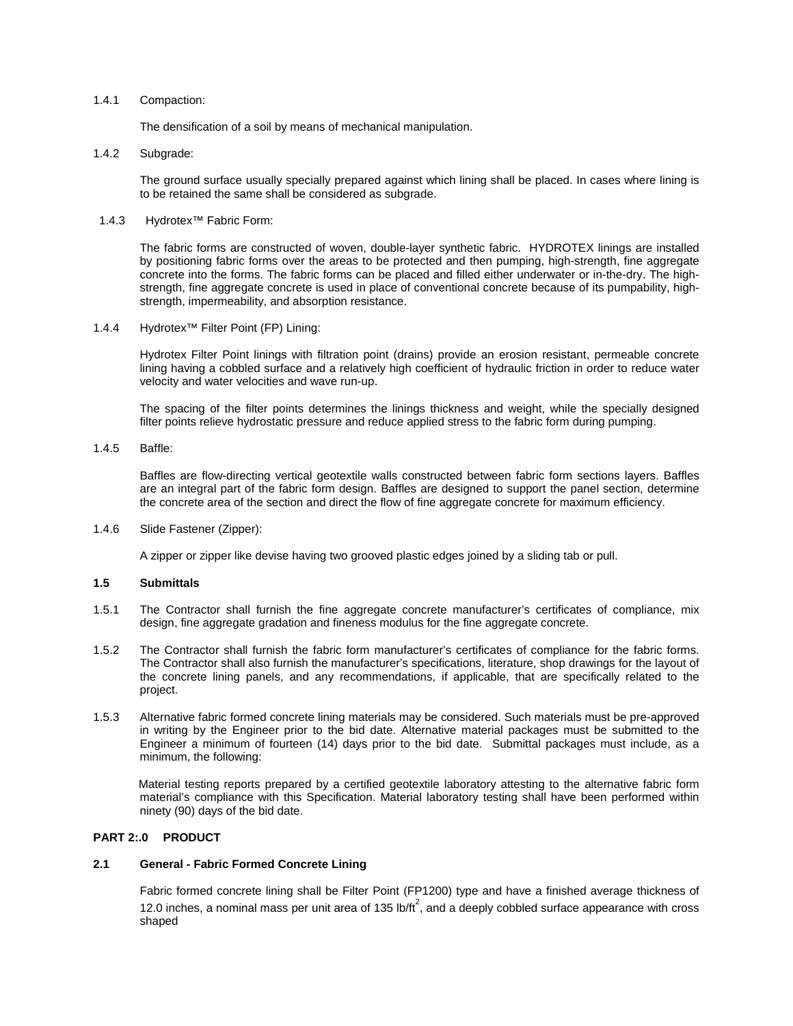#### 1.4.1 Compaction:

The densification of a soil by means of mechanical manipulation.

### 1.4.2 Subgrade:

The ground surface usually specially prepared against which lining shall be placed. In cases where lining is to be retained the same shall be considered as subgrade.

## 1.4.3 Hydrotex™ Fabric Form:

The fabric forms are constructed of woven, double-layer synthetic fabric. HYDROTEX linings are installed by positioning fabric forms over the areas to be protected and then pumping, high-strength, fine aggregate concrete into the forms. The fabric forms can be placed and filled either underwater or in-the-dry. The highstrength, fine aggregate concrete is used in place of conventional concrete because of its pumpability, highstrength, impermeability, and absorption resistance.

1.4.4 Hydrotex™ Filter Point (FP) Lining:

Hydrotex Filter Point linings with filtration point (drains) provide an erosion resistant, permeable concrete lining having a cobbled surface and a relatively high coefficient of hydraulic friction in order to reduce water velocity and water velocities and wave run-up.

The spacing of the filter points determines the linings thickness and weight, while the specially designed filter points relieve hydrostatic pressure and reduce applied stress to the fabric form during pumping.

1.4.5 Baffle:

Baffles are flow-directing vertical geotextile walls constructed between fabric form sections layers. Baffles are an integral part of the fabric form design. Baffles are designed to support the panel section, determine the concrete area of the section and direct the flow of fine aggregate concrete for maximum efficiency.

#### 1.4.6 Slide Fastener (Zipper):

A zipper or zipper like devise having two grooved plastic edges joined by a sliding tab or pull.

## **1.5 Submittals**

- 1.5.1 The Contractor shall furnish the fine aggregate concrete manufacturer's certificates of compliance, mix design, fine aggregate gradation and fineness modulus for the fine aggregate concrete.
- 1.5.2 The Contractor shall furnish the fabric form manufacturer's certificates of compliance for the fabric forms. The Contractor shall also furnish the manufacturer's specifications, literature, shop drawings for the layout of the concrete lining panels, and any recommendations, if applicable, that are specifically related to the project.
- 1.5.3 Alternative fabric formed concrete lining materials may be considered. Such materials must be pre-approved in writing by the Engineer prior to the bid date. Alternative material packages must be submitted to the Engineer a minimum of fourteen (14) days prior to the bid date. Submittal packages must include, as a minimum, the following:

Material testing reports prepared by a certified geotextile laboratory attesting to the alternative fabric form material's compliance with this Specification. Material laboratory testing shall have been performed within ninety (90) days of the bid date.

## **PART 2:.0 PRODUCT**

## **2.1 General - Fabric Formed Concrete Lining**

Fabric formed concrete lining shall be Filter Point (FP1200) type and have a finished average thickness of 12.0 inches, a nominal mass per unit area of 135 lb/ $tt^2$ , and a deeply cobbled surface appearance with cross shaped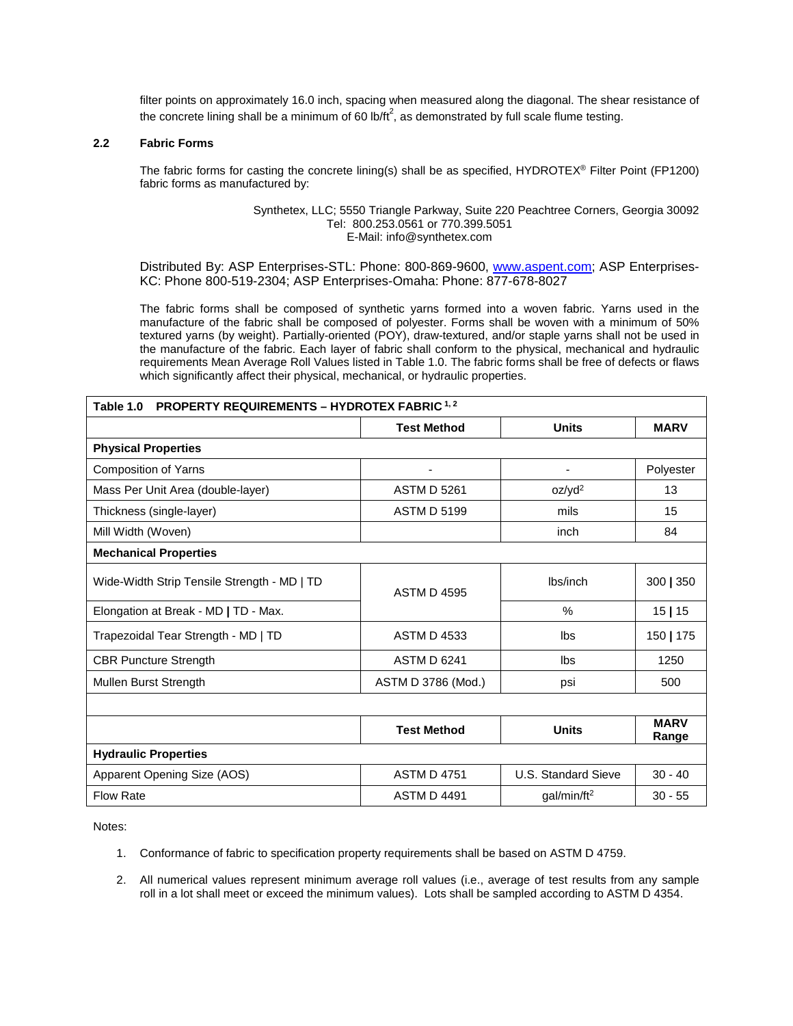filter points on approximately 16.0 inch, spacing when measured along the diagonal. The shear resistance of the concrete lining shall be a minimum of 60 lb/ft<sup>2</sup>, as demonstrated by full scale flume testing.

## **2.2 Fabric Forms**

The fabric forms for casting the concrete lining(s) shall be as specified, HYDROTEX® Filter Point (FP1200) fabric forms as manufactured by:

> Synthetex, LLC; 5550 Triangle Parkway, Suite 220 Peachtree Corners, Georgia 30092 Tel: 800.253.0561 or 770.399.5051 E-Mail: info@synthetex.com

Distributed By: ASP Enterprises-STL: Phone: 800-869-9600, [www.aspent.com;](http://www.aspent.com/) ASP Enterprises-KC: Phone 800-519-2304; ASP Enterprises-Omaha: Phone: 877-678-8027

The fabric forms shall be composed of synthetic yarns formed into a woven fabric. Yarns used in the manufacture of the fabric shall be composed of polyester. Forms shall be woven with a minimum of 50% textured yarns (by weight). Partially-oriented (POY), draw-textured, and/or staple yarns shall not be used in the manufacture of the fabric. Each layer of fabric shall conform to the physical, mechanical and hydraulic requirements Mean Average Roll Values listed in Table 1.0. The fabric forms shall be free of defects or flaws which significantly affect their physical, mechanical, or hydraulic properties.

| <b>PROPERTY REQUIREMENTS - HYDROTEX FABRIC 1, 2</b><br>Table 1.0 |                    |                          |                      |
|------------------------------------------------------------------|--------------------|--------------------------|----------------------|
|                                                                  | <b>Test Method</b> | <b>Units</b>             | <b>MARV</b>          |
| <b>Physical Properties</b>                                       |                    |                          |                      |
| Composition of Yarns                                             |                    | $\overline{\phantom{0}}$ | Polyester            |
| Mass Per Unit Area (double-layer)                                | <b>ASTM D 5261</b> | oz/yd <sup>2</sup>       | 13                   |
| Thickness (single-layer)                                         | <b>ASTM D 5199</b> | mils                     | 15                   |
| Mill Width (Woven)                                               |                    | inch                     | 84                   |
| <b>Mechanical Properties</b>                                     |                    |                          |                      |
| Wide-Width Strip Tensile Strength - MD   TD                      | <b>ASTM D 4595</b> |                          | 300   350            |
| Elongation at Break - MD   TD - Max.                             |                    | $\%$                     | 15 15                |
| Trapezoidal Tear Strength - MD   TD                              | <b>ASTM D 4533</b> | lbs                      | 150   175            |
| <b>CBR Puncture Strength</b>                                     | <b>ASTM D 6241</b> | Ibs                      | 1250                 |
| Mullen Burst Strength                                            | ASTM D 3786 (Mod.) | psi                      | 500                  |
|                                                                  |                    |                          |                      |
|                                                                  | <b>Test Method</b> | <b>Units</b>             | <b>MARV</b><br>Range |
| <b>Hydraulic Properties</b>                                      |                    |                          |                      |
| Apparent Opening Size (AOS)                                      | <b>ASTM D 4751</b> | U.S. Standard Sieve      | $30 - 40$            |
| <b>Flow Rate</b>                                                 | <b>ASTM D 4491</b> | qal/min/ft <sup>2</sup>  | $30 - 55$            |

Notes:

- 1. Conformance of fabric to specification property requirements shall be based on ASTM D 4759.
- 2. All numerical values represent minimum average roll values (i.e., average of test results from any sample roll in a lot shall meet or exceed the minimum values). Lots shall be sampled according to ASTM D 4354.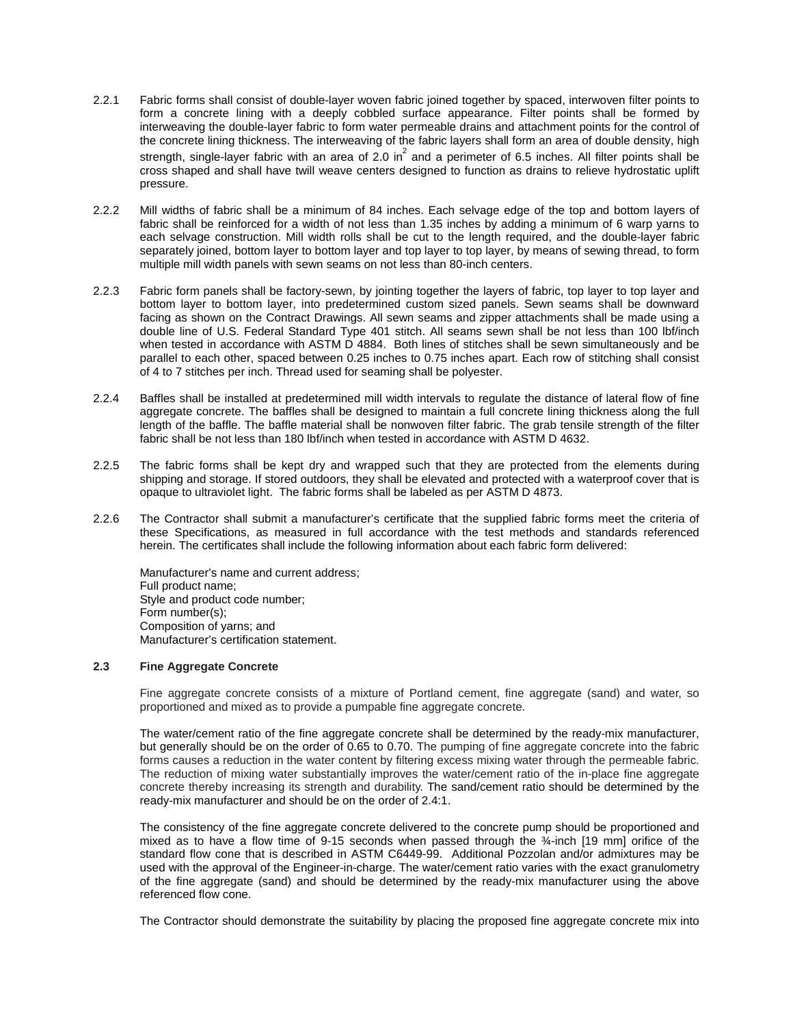- 2.2.1 Fabric forms shall consist of double-layer woven fabric joined together by spaced, interwoven filter points to form a concrete lining with a deeply cobbled surface appearance. Filter points shall be formed by interweaving the double-layer fabric to form water permeable drains and attachment points for the control of the concrete lining thickness. The interweaving of the fabric layers shall form an area of double density, high strength, single-layer fabric with an area of 2.0 in<sup>2</sup> and a perimeter of 6.5 inches. All filter points shall be cross shaped and shall have twill weave centers designed to function as drains to relieve hydrostatic uplift pressure.
- 2.2.2 Mill widths of fabric shall be a minimum of 84 inches. Each selvage edge of the top and bottom layers of fabric shall be reinforced for a width of not less than 1.35 inches by adding a minimum of 6 warp yarns to each selvage construction. Mill width rolls shall be cut to the length required, and the double-layer fabric separately joined, bottom layer to bottom layer and top layer to top layer, by means of sewing thread, to form multiple mill width panels with sewn seams on not less than 80-inch centers.
- 2.2.3 Fabric form panels shall be factory-sewn, by jointing together the layers of fabric, top layer to top layer and bottom layer to bottom layer, into predetermined custom sized panels. Sewn seams shall be downward facing as shown on the Contract Drawings. All sewn seams and zipper attachments shall be made using a double line of U.S. Federal Standard Type 401 stitch. All seams sewn shall be not less than 100 lbf/inch when tested in accordance with ASTM D 4884. Both lines of stitches shall be sewn simultaneously and be parallel to each other, spaced between 0.25 inches to 0.75 inches apart. Each row of stitching shall consist of 4 to 7 stitches per inch. Thread used for seaming shall be polyester.
- 2.2.4 Baffles shall be installed at predetermined mill width intervals to regulate the distance of lateral flow of fine aggregate concrete. The baffles shall be designed to maintain a full concrete lining thickness along the full length of the baffle. The baffle material shall be nonwoven filter fabric. The grab tensile strength of the filter fabric shall be not less than 180 lbf/inch when tested in accordance with ASTM D 4632.
- 2.2.5 The fabric forms shall be kept dry and wrapped such that they are protected from the elements during shipping and storage. If stored outdoors, they shall be elevated and protected with a waterproof cover that is opaque to ultraviolet light. The fabric forms shall be labeled as per ASTM D 4873.
- 2.2.6 The Contractor shall submit a manufacturer's certificate that the supplied fabric forms meet the criteria of these Specifications, as measured in full accordance with the test methods and standards referenced herein. The certificates shall include the following information about each fabric form delivered:

Manufacturer's name and current address; Full product name; Style and product code number; Form number(s); Composition of yarns; and Manufacturer's certification statement.

## **2.3 Fine Aggregate Concrete**

Fine aggregate concrete consists of a mixture of Portland cement, fine aggregate (sand) and water, so proportioned and mixed as to provide a pumpable fine aggregate concrete.

The water/cement ratio of the fine aggregate concrete shall be determined by the ready-mix manufacturer, but generally should be on the order of 0.65 to 0.70. The pumping of fine aggregate concrete into the fabric forms causes a reduction in the water content by filtering excess mixing water through the permeable fabric. The reduction of mixing water substantially improves the water/cement ratio of the in-place fine aggregate concrete thereby increasing its strength and durability. The sand/cement ratio should be determined by the ready-mix manufacturer and should be on the order of 2.4:1.

The consistency of the fine aggregate concrete delivered to the concrete pump should be proportioned and mixed as to have a flow time of 9-15 seconds when passed through the ¾-inch [19 mm] orifice of the standard flow cone that is described in ASTM C6449-99. Additional Pozzolan and/or admixtures may be used with the approval of the Engineer-in-charge. The water/cement ratio varies with the exact granulometry of the fine aggregate (sand) and should be determined by the ready-mix manufacturer using the above referenced flow cone.

The Contractor should demonstrate the suitability by placing the proposed fine aggregate concrete mix into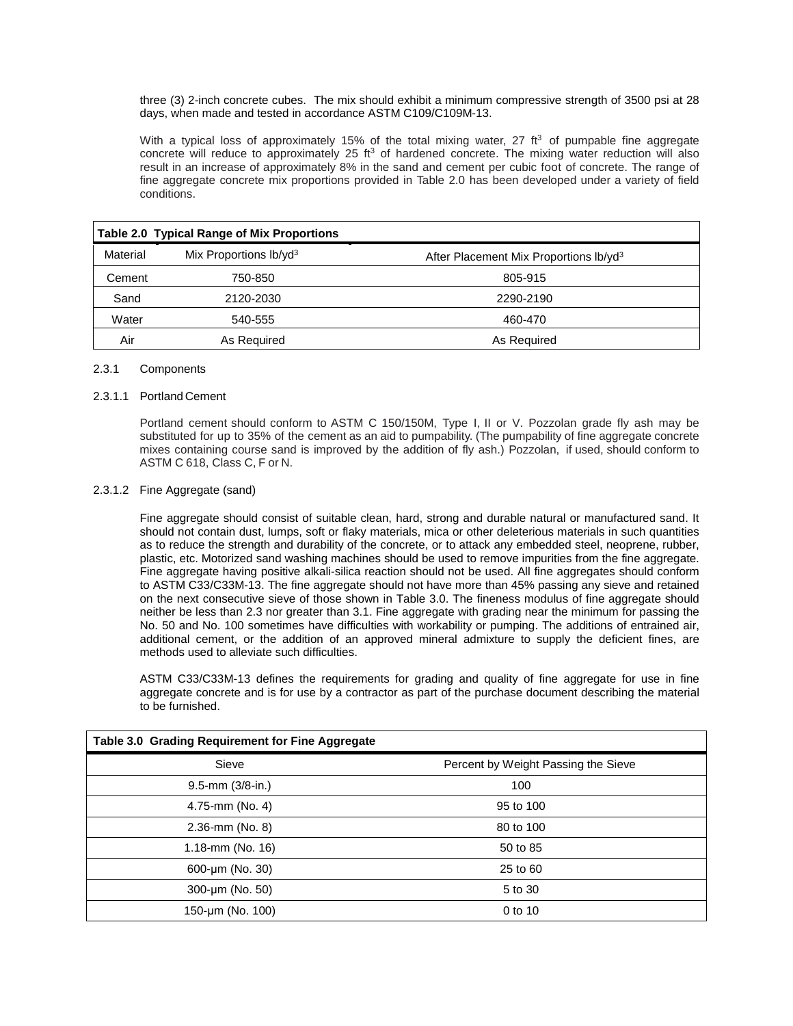three (3) 2-inch concrete cubes. The mix should exhibit a minimum compressive strength of 3500 psi at 28 days, when made and tested in accordance ASTM C109/C109M-13.

With a typical loss of approximately 15% of the total mixing water, 27  $ft<sup>3</sup>$  of pumpable fine aggregate concrete will reduce to approximately 25  $ft<sup>3</sup>$  of hardened concrete. The mixing water reduction will also result in an increase of approximately 8% in the sand and cement per cubic foot of concrete. The range of fine aggregate concrete mix proportions provided in Table 2.0 has been developed under a variety of field conditions.

|          | <b>Table 2.0 Typical Range of Mix Proportions</b> |                                                    |
|----------|---------------------------------------------------|----------------------------------------------------|
| Material | Mix Proportions $lb/vd3$                          | After Placement Mix Proportions Ib/yd <sup>3</sup> |
| Cement   | 750-850                                           | 805-915                                            |
| Sand     | 2120-2030                                         | 2290-2190                                          |
| Water    | 540-555                                           | 460-470                                            |
| Air      | As Required                                       | As Required                                        |

### 2.3.1 Components

### 2.3.1.1 Portland Cement

Portland cement should conform to ASTM C 150/150M, Type I, II or V. Pozzolan grade fly ash may be substituted for up to 35% of the cement as an aid to pumpability. (The pumpability of fine aggregate concrete mixes containing course sand is improved by the addition of fly ash.) Pozzolan, if used, should conform to ASTM C 618, Class C, F or N.

## 2.3.1.2 Fine Aggregate (sand)

Fine aggregate should consist of suitable clean, hard, strong and durable natural or manufactured sand. It should not contain dust, lumps, soft or flaky materials, mica or other deleterious materials in such quantities as to reduce the strength and durability of the concrete, or to attack any embedded steel, neoprene, rubber, plastic, etc. Motorized sand washing machines should be used to remove impurities from the fine aggregate. Fine aggregate having positive alkali-silica reaction should not be used. All fine aggregates should conform to ASTM C33/C33M-13. The fine aggregate should not have more than 45% passing any sieve and retained on the next consecutive sieve of those shown in Table 3.0. The fineness modulus of fine aggregate should neither be less than 2.3 nor greater than 3.1. Fine aggregate with grading near the minimum for passing the No. 50 and No. 100 sometimes have difficulties with workability or pumping. The additions of entrained air, additional cement, or the addition of an approved mineral admixture to supply the deficient fines, are methods used to alleviate such difficulties.

ASTM C33/C33M-13 defines the requirements for grading and quality of fine aggregate for use in fine aggregate concrete and is for use by a contractor as part of the purchase document describing the material to be furnished.

| Table 3.0 Grading Requirement for Fine Aggregate |                                     |
|--------------------------------------------------|-------------------------------------|
| Sieve                                            | Percent by Weight Passing the Sieve |
| $9.5$ -mm $(3/8$ -in.)                           | 100                                 |
| 4.75-mm (No. 4)                                  | 95 to 100                           |
| 2.36-mm (No. 8)                                  | 80 to 100                           |
| 1.18-mm (No. 16)                                 | 50 to 85                            |
| 600-µm (No. 30)                                  | 25 to 60                            |
| 300-um (No. 50)                                  | 5 to 30                             |
| 150-µm (No. 100)                                 | 0 to 10                             |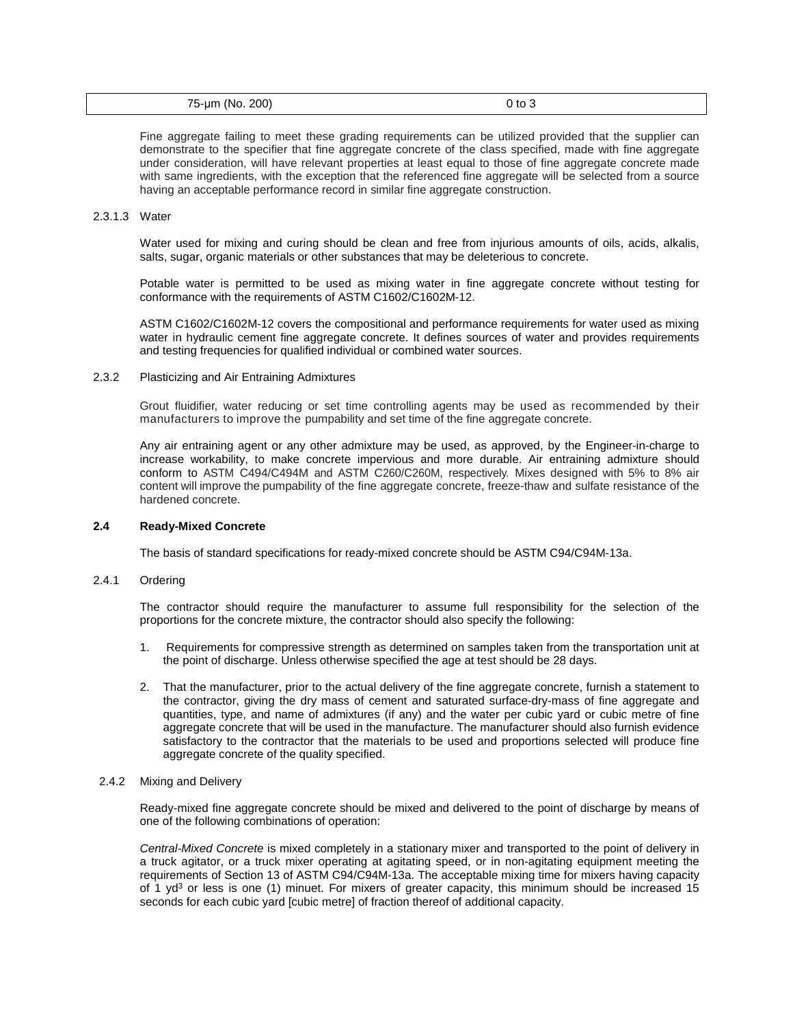| 75-um (No. 200) | $0$ to $3$<br>. |  |
|-----------------|-----------------|--|
|-----------------|-----------------|--|

Fine aggregate failing to meet these grading requirements can be utilized provided that the supplier can demonstrate to the specifier that fine aggregate concrete of the class specified, made with fine aggregate under consideration, will have relevant properties at least equal to those of fine aggregate concrete made with same ingredients, with the exception that the referenced fine aggregate will be selected from a source having an acceptable performance record in similar fine aggregate construction.

#### 2.3.1.3 Water

Water used for mixing and curing should be clean and free from injurious amounts of oils, acids, alkalis, salts, sugar, organic materials or other substances that may be deleterious to concrete.

Potable water is permitted to be used as mixing water in fine aggregate concrete without testing for conformance with the requirements of ASTM C1602/C1602M-12.

ASTM C1602/C1602M-12 covers the compositional and performance requirements for water used as mixing water in hydraulic cement fine aggregate concrete. It defines sources of water and provides requirements and testing frequencies for qualified individual or combined water sources.

## 2.3.2 Plasticizing and Air Entraining Admixtures

Grout fluidifier, water reducing or set time controlling agents may be used as recommended by their manufacturers to improve the pumpability and set time of the fine aggregate concrete.

Any air entraining agent or any other admixture may be used, as approved, by the Engineer-in-charge to increase workability, to make concrete impervious and more durable. Air entraining admixture should conform to ASTM C494/C494M and ASTM C260/C260M, respectively. Mixes designed with 5% to 8% air content will improve the pumpability of the fine aggregate concrete, freeze-thaw and sulfate resistance of the hardened concrete.

#### **2.4 Ready-Mixed Concrete**

The basis of standard specifications for ready-mixed concrete should be ASTM C94/C94M-13a.

#### $2.4.1$ **Ordering**

The contractor should require the manufacturer to assume full responsibility for the selection of the proportions for the concrete mixture, the contractor should also specify the following:

- 1. Requirements for compressive strength as determined on samples taken from the transportation unit at the point of discharge. Unless otherwise specified the age at test should be 28 days.
- 2. That the manufacturer, prior to the actual delivery of the fine aggregate concrete, furnish a statement to the contractor, giving the dry mass of cement and saturated surface-dry-mass of fine aggregate and quantities, type, and name of admixtures (if any) and the water per cubic yard or cubic metre of fine aggregate concrete that will be used in the manufacture. The manufacturer should also furnish evidence satisfactory to the contractor that the materials to be used and proportions selected will produce fine aggregate concrete of the quality specified.

#### 2.4.2 Mixing and Delivery

Ready-mixed fine aggregate concrete should be mixed and delivered to the point of discharge by means of one of the following combinations of operation:

*Central-Mixed Concrete* is mixed completely in a stationary mixer and transported to the point of delivery in a truck agitator, or a truck mixer operating at agitating speed, or in non-agitating equipment meeting the requirements of Section 13 of ASTM C94/C94M-13a. The acceptable mixing time for mixers having capacity of 1 yd<sup>3</sup> or less is one (1) minuet. For mixers of greater capacity, this minimum should be increased 15 seconds for each cubic yard [cubic metre] of fraction thereof of additional capacity.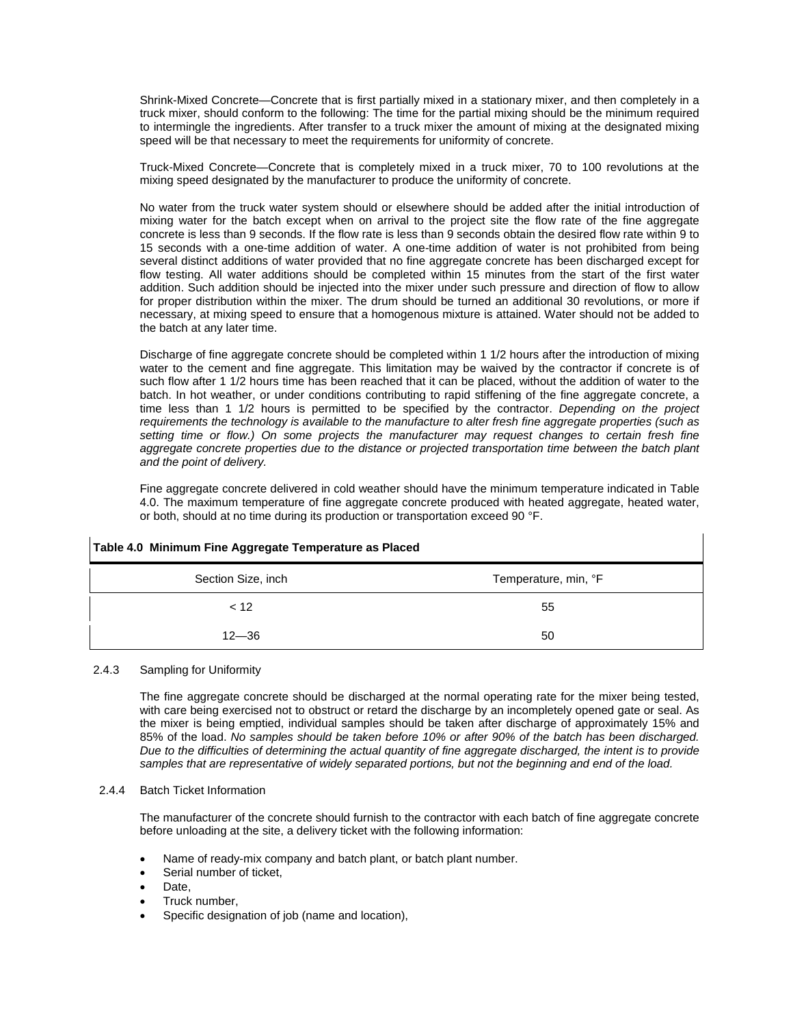Shrink-Mixed Concrete—Concrete that is first partially mixed in a stationary mixer, and then completely in a truck mixer, should conform to the following: The time for the partial mixing should be the minimum required to intermingle the ingredients. After transfer to a truck mixer the amount of mixing at the designated mixing speed will be that necessary to meet the requirements for uniformity of concrete.

Truck-Mixed Concrete—Concrete that is completely mixed in a truck mixer, 70 to 100 revolutions at the mixing speed designated by the manufacturer to produce the uniformity of concrete.

No water from the truck water system should or elsewhere should be added after the initial introduction of mixing water for the batch except when on arrival to the project site the flow rate of the fine aggregate concrete is less than 9 seconds. If the flow rate is less than 9 seconds obtain the desired flow rate within 9 to 15 seconds with a one-time addition of water. A one-time addition of water is not prohibited from being several distinct additions of water provided that no fine aggregate concrete has been discharged except for flow testing. All water additions should be completed within 15 minutes from the start of the first water addition. Such addition should be injected into the mixer under such pressure and direction of flow to allow for proper distribution within the mixer. The drum should be turned an additional 30 revolutions, or more if necessary, at mixing speed to ensure that a homogenous mixture is attained. Water should not be added to the batch at any later time.

Discharge of fine aggregate concrete should be completed within 1 1/2 hours after the introduction of mixing water to the cement and fine aggregate. This limitation may be waived by the contractor if concrete is of such flow after 1 1/2 hours time has been reached that it can be placed, without the addition of water to the batch. In hot weather, or under conditions contributing to rapid stiffening of the fine aggregate concrete, a time less than 1 1/2 hours is permitted to be specified by the contractor. *Depending on the project requirements the technology is available to the manufacture to alter fresh fine aggregate properties (such as setting time or flow.) On some projects the manufacturer may request changes to certain fresh fine aggregate concrete properties due to the distance or projected transportation time between the batch plant and the point of delivery.*

Fine aggregate concrete delivered in cold weather should have the minimum temperature indicated in Table 4.0. The maximum temperature of fine aggregate concrete produced with heated aggregate, heated water, or both, should at no time during its production or transportation exceed 90 °F.

| Table 4.0 Minimum Fine Aggregate Temperature as Placed |                      |
|--------------------------------------------------------|----------------------|
| Section Size, inch                                     | Temperature, min, °F |
| < 12                                                   | 55                   |
| $12 - 36$                                              | 50                   |

## 2.4.3 Sampling for Uniformity

The fine aggregate concrete should be discharged at the normal operating rate for the mixer being tested, with care being exercised not to obstruct or retard the discharge by an incompletely opened gate or seal. As the mixer is being emptied, individual samples should be taken after discharge of approximately 15% and 85% of the load. *No samples should be taken before 10% or after 90% of the batch has been discharged. Due to the difficulties of determining the actual quantity of fine aggregate discharged, the intent is to provide samples that are representative of widely separated portions, but not the beginning and end of the load.*

## 2.4.4 Batch Ticket Information

The manufacturer of the concrete should furnish to the contractor with each batch of fine aggregate concrete before unloading at the site, a delivery ticket with the following information:

- Name of ready-mix company and batch plant, or batch plant number.
- Serial number of ticket.
- Date.
- Truck number,
- Specific designation of job (name and location),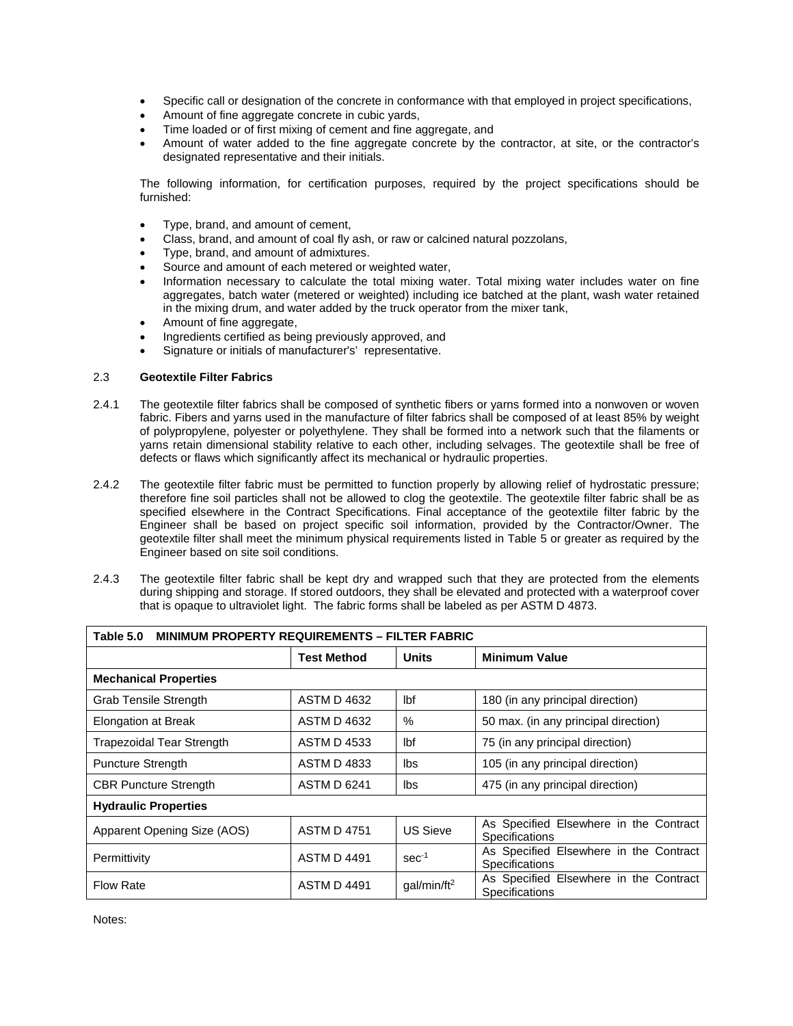- Specific call or designation of the concrete in conformance with that employed in project specifications,
- Amount of fine aggregate concrete in cubic yards,
- Time loaded or of first mixing of cement and fine aggregate, and
- Amount of water added to the fine aggregate concrete by the contractor, at site, or the contractor's designated representative and their initials.

The following information, for certification purposes, required by the project specifications should be furnished:

- Type, brand, and amount of cement,
- Class, brand, and amount of coal fly ash, or raw or calcined natural pozzolans,
- Type, brand, and amount of admixtures.
- Source and amount of each metered or weighted water.
- Information necessary to calculate the total mixing water. Total mixing water includes water on fine aggregates, batch water (metered or weighted) including ice batched at the plant, wash water retained in the mixing drum, and water added by the truck operator from the mixer tank,
- Amount of fine aggregate,
- Ingredients certified as being previously approved, and
- Signature or initials of manufacturer's' representative.

## 2.3 **Geotextile Filter Fabrics**

- 2.4.1 The geotextile filter fabrics shall be composed of synthetic fibers or yarns formed into a nonwoven or woven fabric. Fibers and yarns used in the manufacture of filter fabrics shall be composed of at least 85% by weight of polypropylene, polyester or polyethylene. They shall be formed into a network such that the filaments or yarns retain dimensional stability relative to each other, including selvages. The geotextile shall be free of defects or flaws which significantly affect its mechanical or hydraulic properties.
- 2.4.2 The geotextile filter fabric must be permitted to function properly by allowing relief of hydrostatic pressure; therefore fine soil particles shall not be allowed to clog the geotextile. The geotextile filter fabric shall be as specified elsewhere in the Contract Specifications. Final acceptance of the geotextile filter fabric by the Engineer shall be based on project specific soil information, provided by the Contractor/Owner. The geotextile filter shall meet the minimum physical requirements listed in Table 5 or greater as required by the Engineer based on site soil conditions.
- 2.4.3 The geotextile filter fabric shall be kept dry and wrapped such that they are protected from the elements during shipping and storage. If stored outdoors, they shall be elevated and protected with a waterproof cover that is opaque to ultraviolet light. The fabric forms shall be labeled as per ASTM D 4873.

| Table 5.0<br><b>MINIMUM PROPERTY REQUIREMENTS - FILTER FABRIC</b> |                    |                         |                                                                 |
|-------------------------------------------------------------------|--------------------|-------------------------|-----------------------------------------------------------------|
|                                                                   | <b>Test Method</b> | <b>Units</b>            | <b>Minimum Value</b>                                            |
| <b>Mechanical Properties</b>                                      |                    |                         |                                                                 |
| <b>Grab Tensile Strength</b>                                      | <b>ASTM D 4632</b> | Ibf                     | 180 (in any principal direction)                                |
| <b>Elongation at Break</b>                                        | ASTM D 4632        | $\%$                    | 50 max. (in any principal direction)                            |
| Trapezoidal Tear Strength                                         | <b>ASTM D 4533</b> | lbf                     | 75 (in any principal direction)                                 |
| <b>Puncture Strength</b>                                          | <b>ASTM D 4833</b> | lbs                     | 105 (in any principal direction)                                |
| <b>CBR Puncture Strength</b>                                      | <b>ASTM D 6241</b> | lbs                     | 475 (in any principal direction)                                |
| <b>Hydraulic Properties</b>                                       |                    |                         |                                                                 |
| Apparent Opening Size (AOS)                                       | <b>ASTM D 4751</b> | <b>US Sieve</b>         | As Specified Elsewhere in the Contract<br><b>Specifications</b> |
| Permittivity                                                      | <b>ASTM D 4491</b> | $sec-1$                 | As Specified Elsewhere in the Contract<br><b>Specifications</b> |
| <b>Flow Rate</b>                                                  | <b>ASTM D 4491</b> | qal/min/ft <sup>2</sup> | As Specified Elsewhere in the Contract<br>Specifications        |

Notes: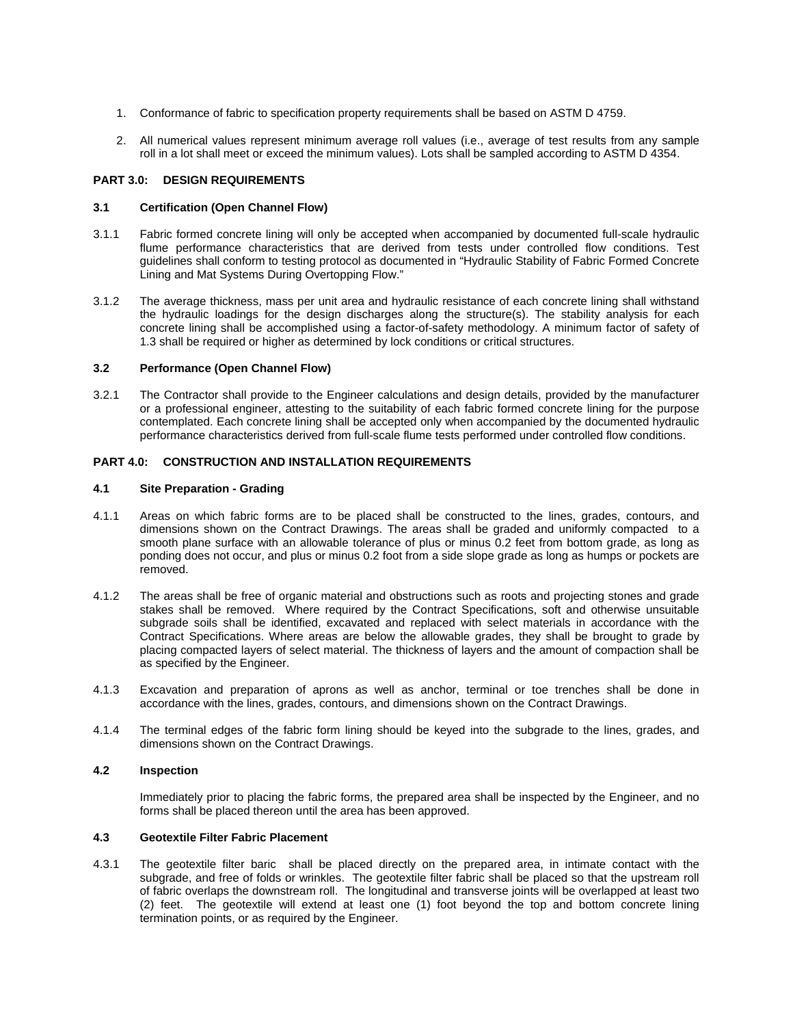- 1. Conformance of fabric to specification property requirements shall be based on ASTM D 4759.
- 2. All numerical values represent minimum average roll values (i.e., average of test results from any sample roll in a lot shall meet or exceed the minimum values). Lots shall be sampled according to ASTM D 4354.

### **PART 3.0: DESIGN REQUIREMENTS**

#### **3.1 Certification (Open Channel Flow)**

- 3.1.1 Fabric formed concrete lining will only be accepted when accompanied by documented full-scale hydraulic flume performance characteristics that are derived from tests under controlled flow conditions. Test guidelines shall conform to testing protocol as documented in "Hydraulic Stability of Fabric Formed Concrete Lining and Mat Systems During Overtopping Flow."
- 3.1.2 The average thickness, mass per unit area and hydraulic resistance of each concrete lining shall withstand the hydraulic loadings for the design discharges along the structure(s). The stability analysis for each concrete lining shall be accomplished using a factor-of-safety methodology. A minimum factor of safety of 1.3 shall be required or higher as determined by lock conditions or critical structures.

## **3.2 Performance (Open Channel Flow)**

3.2.1 The Contractor shall provide to the Engineer calculations and design details, provided by the manufacturer or a professional engineer, attesting to the suitability of each fabric formed concrete lining for the purpose contemplated. Each concrete lining shall be accepted only when accompanied by the documented hydraulic performance characteristics derived from full-scale flume tests performed under controlled flow conditions.

## **PART 4.0: CONSTRUCTION AND INSTALLATION REQUIREMENTS**

#### **4.1 Site Preparation - Grading**

- 4.1.1 Areas on which fabric forms are to be placed shall be constructed to the lines, grades, contours, and dimensions shown on the Contract Drawings. The areas shall be graded and uniformly compacted to a smooth plane surface with an allowable tolerance of plus or minus 0.2 feet from bottom grade, as long as ponding does not occur, and plus or minus 0.2 foot from a side slope grade as long as humps or pockets are removed.
- 4.1.2 The areas shall be free of organic material and obstructions such as roots and projecting stones and grade stakes shall be removed. Where required by the Contract Specifications, soft and otherwise unsuitable subgrade soils shall be identified, excavated and replaced with select materials in accordance with the Contract Specifications. Where areas are below the allowable grades, they shall be brought to grade by placing compacted layers of select material. The thickness of layers and the amount of compaction shall be as specified by the Engineer.
- 4.1.3 Excavation and preparation of aprons as well as anchor, terminal or toe trenches shall be done in accordance with the lines, grades, contours, and dimensions shown on the Contract Drawings.
- 4.1.4 The terminal edges of the fabric form lining should be keyed into the subgrade to the lines, grades, and dimensions shown on the Contract Drawings.

## **4.2 Inspection**

Immediately prior to placing the fabric forms, the prepared area shall be inspected by the Engineer, and no forms shall be placed thereon until the area has been approved.

#### **4.3 Geotextile Filter Fabric Placement**

4.3.1 The geotextile filter baric shall be placed directly on the prepared area, in intimate contact with the subgrade, and free of folds or wrinkles. The geotextile filter fabric shall be placed so that the upstream roll of fabric overlaps the downstream roll. The longitudinal and transverse joints will be overlapped at least two (2) feet. The geotextile will extend at least one (1) foot beyond the top and bottom concrete lining termination points, or as required by the Engineer.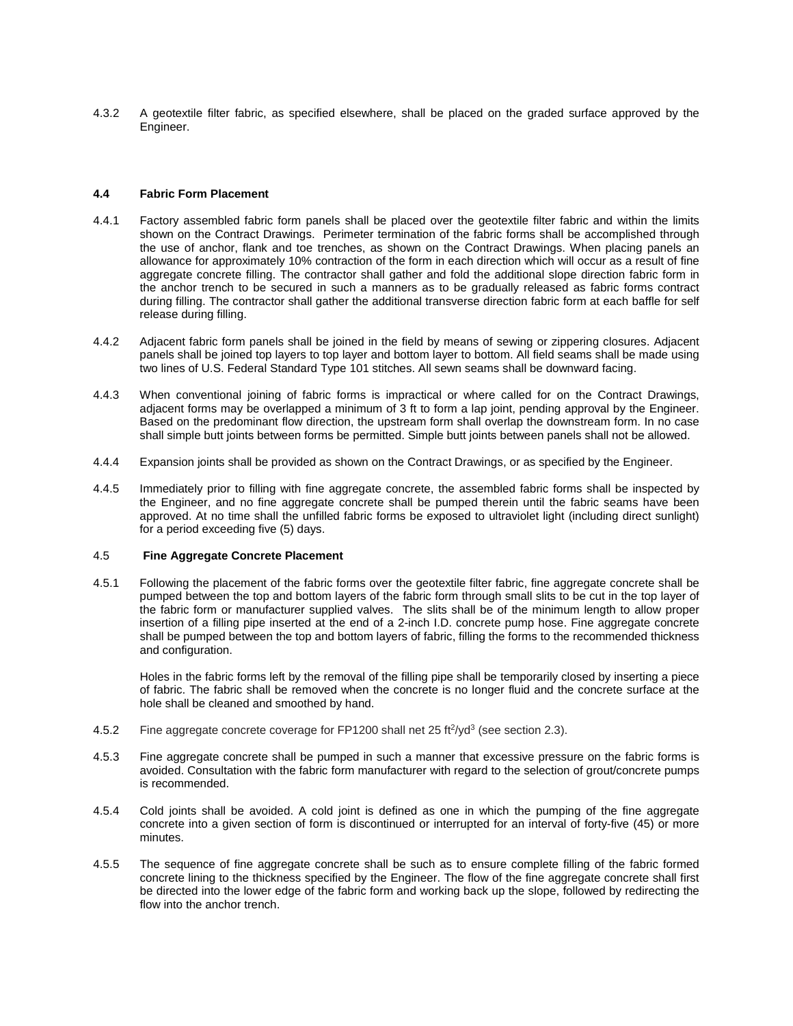4.3.2 A geotextile filter fabric, as specified elsewhere, shall be placed on the graded surface approved by the Engineer.

#### **4.4 Fabric Form Placement**

- 4.4.1 Factory assembled fabric form panels shall be placed over the geotextile filter fabric and within the limits shown on the Contract Drawings. Perimeter termination of the fabric forms shall be accomplished through the use of anchor, flank and toe trenches, as shown on the Contract Drawings. When placing panels an allowance for approximately 10% contraction of the form in each direction which will occur as a result of fine aggregate concrete filling. The contractor shall gather and fold the additional slope direction fabric form in the anchor trench to be secured in such a manners as to be gradually released as fabric forms contract during filling. The contractor shall gather the additional transverse direction fabric form at each baffle for self release during filling.
- 4.4.2 Adjacent fabric form panels shall be joined in the field by means of sewing or zippering closures. Adjacent panels shall be joined top layers to top layer and bottom layer to bottom. All field seams shall be made using two lines of U.S. Federal Standard Type 101 stitches. All sewn seams shall be downward facing.
- 4.4.3 When conventional joining of fabric forms is impractical or where called for on the Contract Drawings, adjacent forms may be overlapped a minimum of 3 ft to form a lap joint, pending approval by the Engineer. Based on the predominant flow direction, the upstream form shall overlap the downstream form. In no case shall simple butt joints between forms be permitted. Simple butt joints between panels shall not be allowed.
- 4.4.4 Expansion joints shall be provided as shown on the Contract Drawings, or as specified by the Engineer.
- 4.4.5 Immediately prior to filling with fine aggregate concrete, the assembled fabric forms shall be inspected by the Engineer, and no fine aggregate concrete shall be pumped therein until the fabric seams have been approved. At no time shall the unfilled fabric forms be exposed to ultraviolet light (including direct sunlight) for a period exceeding five (5) days.

## 4.5 **Fine Aggregate Concrete Placement**

4.5.1 Following the placement of the fabric forms over the geotextile filter fabric, fine aggregate concrete shall be pumped between the top and bottom layers of the fabric form through small slits to be cut in the top layer of the fabric form or manufacturer supplied valves. The slits shall be of the minimum length to allow proper insertion of a filling pipe inserted at the end of a 2-inch I.D. concrete pump hose. Fine aggregate concrete shall be pumped between the top and bottom layers of fabric, filling the forms to the recommended thickness and configuration.

Holes in the fabric forms left by the removal of the filling pipe shall be temporarily closed by inserting a piece of fabric. The fabric shall be removed when the concrete is no longer fluid and the concrete surface at the hole shall be cleaned and smoothed by hand.

- 4.5.2 Fine aggregate concrete coverage for FP1200 shall net 25 ft<sup>2</sup>/yd<sup>3</sup> (see section 2.3).
- 4.5.3 Fine aggregate concrete shall be pumped in such a manner that excessive pressure on the fabric forms is avoided. Consultation with the fabric form manufacturer with regard to the selection of grout/concrete pumps is recommended.
- 4.5.4 Cold joints shall be avoided. A cold joint is defined as one in which the pumping of the fine aggregate concrete into a given section of form is discontinued or interrupted for an interval of forty-five (45) or more minutes.
- 4.5.5 The sequence of fine aggregate concrete shall be such as to ensure complete filling of the fabric formed concrete lining to the thickness specified by the Engineer. The flow of the fine aggregate concrete shall first be directed into the lower edge of the fabric form and working back up the slope, followed by redirecting the flow into the anchor trench.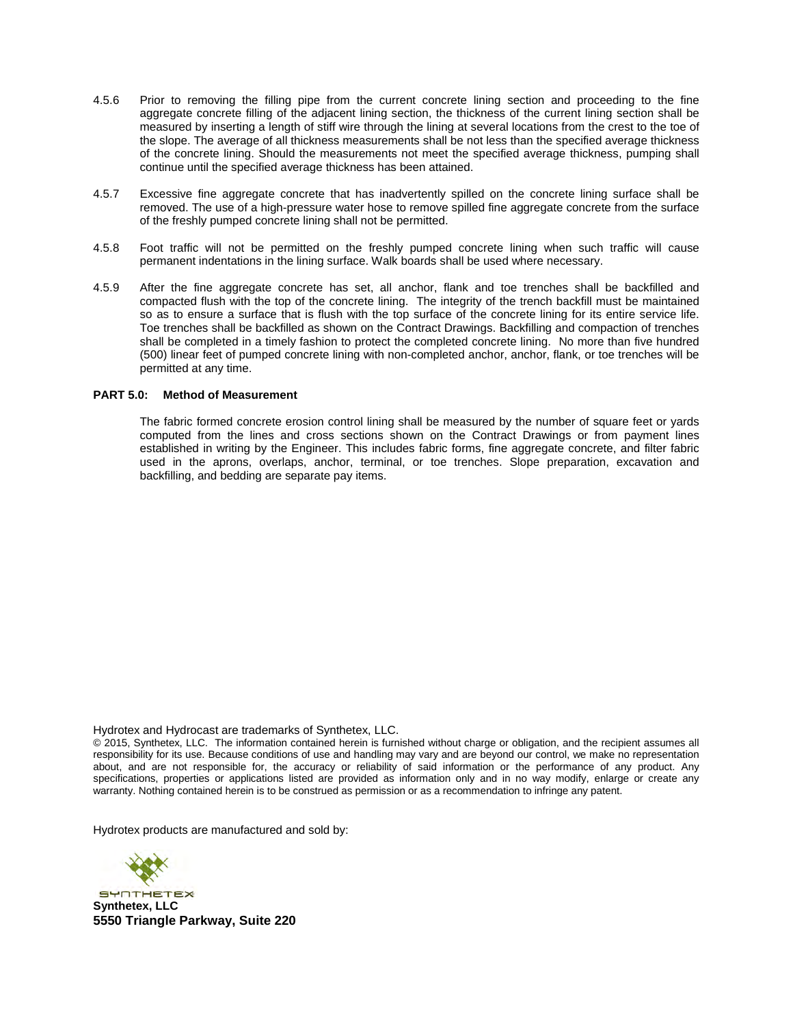- 4.5.6 Prior to removing the filling pipe from the current concrete lining section and proceeding to the fine aggregate concrete filling of the adjacent lining section, the thickness of the current lining section shall be measured by inserting a length of stiff wire through the lining at several locations from the crest to the toe of the slope. The average of all thickness measurements shall be not less than the specified average thickness of the concrete lining. Should the measurements not meet the specified average thickness, pumping shall continue until the specified average thickness has been attained.
- 4.5.7 Excessive fine aggregate concrete that has inadvertently spilled on the concrete lining surface shall be removed. The use of a high-pressure water hose to remove spilled fine aggregate concrete from the surface of the freshly pumped concrete lining shall not be permitted.
- 4.5.8 Foot traffic will not be permitted on the freshly pumped concrete lining when such traffic will cause permanent indentations in the lining surface. Walk boards shall be used where necessary.
- 4.5.9 After the fine aggregate concrete has set, all anchor, flank and toe trenches shall be backfilled and compacted flush with the top of the concrete lining. The integrity of the trench backfill must be maintained so as to ensure a surface that is flush with the top surface of the concrete lining for its entire service life. Toe trenches shall be backfilled as shown on the Contract Drawings. Backfilling and compaction of trenches shall be completed in a timely fashion to protect the completed concrete lining. No more than five hundred (500) linear feet of pumped concrete lining with non-completed anchor, anchor, flank, or toe trenches will be permitted at any time.

## **PART 5.0: Method of Measurement**

The fabric formed concrete erosion control lining shall be measured by the number of square feet or yards computed from the lines and cross sections shown on the Contract Drawings or from payment lines established in writing by the Engineer. This includes fabric forms, fine aggregate concrete, and filter fabric used in the aprons, overlaps, anchor, terminal, or toe trenches. Slope preparation, excavation and backfilling, and bedding are separate pay items.

Hydrotex and Hydrocast are trademarks of Synthetex, LLC.

© 2015, Synthetex, LLC. The information contained herein is furnished without charge or obligation, and the recipient assumes all responsibility for its use. Because conditions of use and handling may vary and are beyond our control, we make no representation about, and are not responsible for, the accuracy or reliability of said information or the performance of any product. Any specifications, properties or applications listed are provided as information only and in no way modify, enlarge or create any warranty. Nothing contained herein is to be construed as permission or as a recommendation to infringe any patent.

Hydrotex products are manufactured and sold by:



**SYNTHETEX Synthetex, LLC 5550 Triangle Parkway, Suite 220**